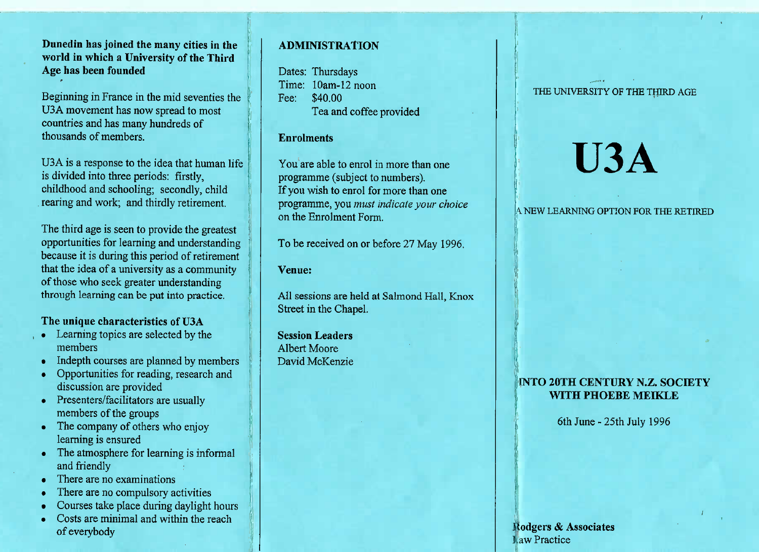## **Dunedin has joined the many cities in the world in which a University of the ThirdAge has been founded**

Beginning in France in the mid seventies theU3A movement has now spread to mostcountries and has many hundreds ofthousands of members.

USA is a response to the idea that human lifeis divided into three periods: firstly, childhood and schooling; secondly, childrearing and work; and thirdly retirement.

The third age is seen to provide the greatest opportunities for learning and understanding because it is during this period of retirement that the idea of a university as a communityof those who seek greater understandingthrough learning can be put into practice.

## **The unique characteristics of U3A**

- Learning topics are selected by themembers
- Indepth courses are planned by members
- Opportunities for reading, research anddiscussion are provided
- **Presenters/facilitators are usually** members of the groups
- $\cdot$  The company of others who enjoy learning is ensured
- The atmosphere for learning is informal and friendly
- I nere are no examinations
- I here are no compulsory activities
- Courses take place during daylight hours
- Costs are minimal and within the reach of everybody

## **ADMINISTRATION**

Dates: Thursdays Time: 10am-12 noonFee: \$40.00Tea and coffee provided

### **Enrolments**

You are able to enrol in more than oneprogramme (subject to numbers). If you wish to enrol for more than one programme, you *must indicate your choice*on the Enrolment Form.

To be received on or before 27 May 1996.

### **Venue:**

AH sessions are held at Salmond Hall, KnoxStreet in the Chapel.

**Session Leaders**Albert MooreDavid McKenzie THE UNIVERSITY OF THE THIRD AGE

# **U3A**

#### *\W LEARNING OPTION FOR THE RETIRED*

## **INTO 20TH CENTURY N.Z. SOCIETYWITH PHOEBE MEIKLE**

6th June-25th July 1996

Rodgers & AssociatesLaw Practice